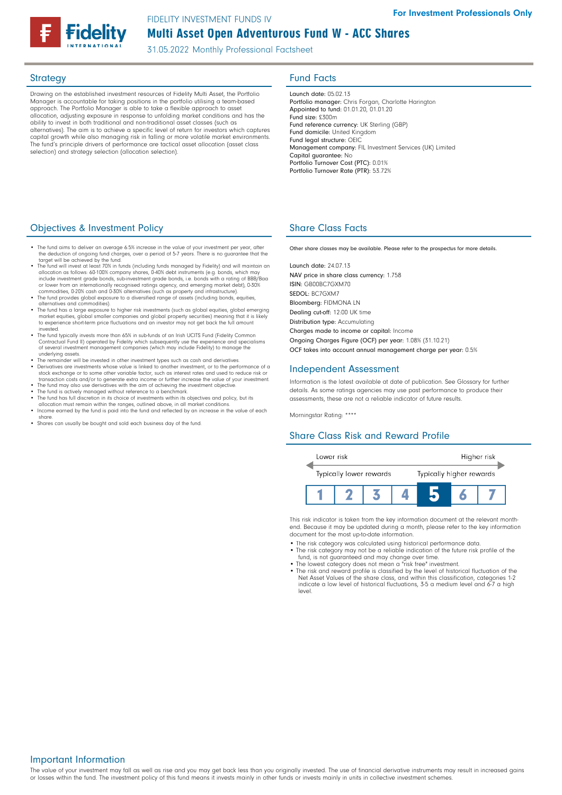# Multi Asset Open Adventurous Fund W - ACC Shares FIDELITY INVESTMENT FUNDS IV

31.05.2022 Monthly Professional Factsheet

Drawing on the established investment resources of Fidelity Multi Asset, the Portfolio Manager is accountable for taking positions in the portfolio utilising a team-based approach. The Portfolio Manager is able to take a flexible approach to asset allocation, adjusting exposure in response to unfolding market conditions and has the ability to invest in both traditional and non-traditional asset classes (such as alternatives). The aim is to achieve a specific level of return for investors which captures capital growth while also managing risk in falling or more volatile market environments. The fund's principle drivers of performance are tactical asset allocation (asset class selection) and strategy selection (allocation selection).

# Strategy **Fund Facts**

Launch date: 05.02.13 Portfolio manager: Chris Forgan, Charlotte Harington Appointed to fund: 01.01.20, 01.01.20 Fund size: £300m Fund reference currency: UK Sterling (GBP) Fund domicile: United Kingdom Fund legal structure: OEIC Management company: FIL Investment Services (UK) Limited Capital guarantee: No Portfolio Turnover Cost (PTC): 0.01% Portfolio Turnover Rate (PTR): 53.72%

# **Objectives & Investment Policy Share Class Facts** Share Class Facts

- The fund aims to deliver an average 6.5% increase in the value of your investment per year, after the deduction of ongoing fund charges, over a period of 5-7 years. There is no guarantee that the target will be achieved by the fund.
- The fund will invest at least 70% in funds (including funds managed by Fidelity) and will maintain an •<br>allocation as follows: 60-100% company shares, 0-40% debt instruments (e.g. bonds, which may<br>include investment grad or lower from an internationally recognised ratings agency, and emerging market debt), 0-30%<br>commodities, 0-20% cash and 0-30% alternatives (such as property and infrastructure).<br>• The fund provides global exposure to a di
- 
- alternatives and commodities). The fund has a large exposure to higher risk investments (such as global equities, global emerging market equities, global smaller companies and global property securities) meaning that it is likely to experience short-term price fluctuations and an investor may not get back the full amount
- invested. The fund typically invests more than 65% in sub-funds of an Irish UCITS Fund (Fidelity Common Contractual Fund II) operated by Fidelity which subsequently use the experience and specialisms of several investment management companies (which may include Fidelity) to manage the
- underlying assets. The remainder will be invested in other investment types such as cash and derivatives.
- Derivatives are investments whose value is linked to another investment, or to the performance of a<br>stock exchange or to some other variable factor, such as interest rates and used to reduce risk or<br>transaction costs and The fund may also use derivatives with the aim of achieving the investment objective
- 
- The fund is actively managed without reference to a benchmark. The fund has full discretion in its choice of investments within its objectives and policy, but its
- allocation must remain within the ranges, outlined above, in all market conditions. Income earned by the fund is paid into the fund and reflected by an increase in the value of each share.
- Shares can usually be bought and sold each business day of the fund.

Other share classes may be available. Please refer to the prospectus for more details.

Launch date: 24.07.13 NAV price in share class currency: 1.758 ISIN: GB00BC7GXM70 SEDOL: BC7GXM7 Bloomberg: FIDMONA LN Dealing cut-off: 12:00 UK time Distribution type: Accumulating Charges made to income or capital: Income Ongoing Charges Figure (OCF) per year: 1.08% (31.10.21) OCF takes into account annual management charge per year: 0.5%

### Independent Assessment

Information is the latest available at date of publication. See Glossary for further details. As some ratings agencies may use past performance to produce their assessments, these are not a reliable indicator of future results.

Morningstar Rating: \*\*\*\*

## Share Class Risk and Reward Profile



This risk indicator is taken from the key information document at the relevant monthend. Because it may be updated during a month, please refer to the key information document for the most up-to-date information.

- The risk category was calculated using historical performance data.
- The risk category may not be a reliable indication of the future risk profile of the fund, is not guaranteed and may change over time.
- The lowest category does not mean a "risk free" investment. The risk and reward profile is classified by the level of historical fluctuation of the
- Net Asset Values of the share class, and within this classification, categories 1-2 indicate a low level of historical fluctuations, 3-5 a medium level and 6-7 a high level.

#### Important Information

The value of your investment may fall as well as rise and you may get back less than you originally invested. The use of financial derivative instruments may result in increased gains or losses within the fund. The investment policy of this fund means it invests mainly in other funds or invests mainly in units in collective investment schemes.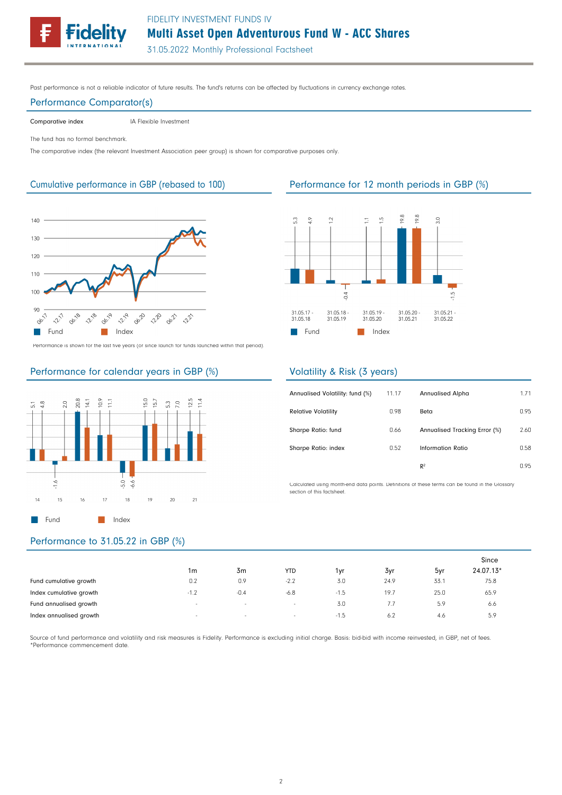

# Multi Asset Open Adventurous Fund W - ACC Shares

31.05.2022 Monthly Professional Factsheet

Past performance is not a reliable indicator of future results. The fund's returns can be affected by fluctuations in currency exchange rates.

#### Performance Comparator(s)

Comparative index **IA Flexible Investment** 

The fund has no formal benchmark.

The comparative index (the relevant Investment Association peer group) is shown for comparative purposes only.



Performance is shown for the last five years (or since launch for funds launched within that period).

### Performance for calendar years in GBP (%)



# Performance to 31.05.22 in GBP (%)

|                         |                          |                |                          |        |                 |      | Since     |
|-------------------------|--------------------------|----------------|--------------------------|--------|-----------------|------|-----------|
|                         | 1 <sub>m</sub>           | 3 <sub>m</sub> | <b>YTD</b>               | 1vr    | 3yr             | 5yr  | 24.07.13* |
| Fund cumulative growth  | 0.2                      | 0.9            | $-2.2$                   | 3.0    | 24.9            | 33.7 | 75.8      |
| Index cumulative growth | $-1.2$                   | $-0.4$         | $-6.8$                   | $-1.5$ | 19.7            | 25.0 | 65.9      |
| Fund annualised growth  | $\sim$                   | $\sim$         | $\overline{\phantom{a}}$ | 3.0    | $^{\prime}$ . / | 5.9  | 6.6       |
| Index annualised growth | $\overline{\phantom{a}}$ | $\sim$         | $\sim$                   | -1.5   | 6.2             | 4.6  | 5.9       |

Source of fund performance and volatility and risk measures is Fidelity. Performance is excluding initial charge. Basis: bid-bid with income reinvested, in GBP, net of fees. \*Performance commencement date.

### Cumulative performance in GBP (rebased to 100) Performance for 12 month periods in GBP (%)



### Volatility & Risk (3 years)

| Annualised Volatility: fund (%) | 11.17 | <b>Annualised Alpha</b>       | 1.71 |
|---------------------------------|-------|-------------------------------|------|
| <b>Relative Volatility</b>      | 0.98  | Beta                          | 0.95 |
| Sharpe Ratio: fund              | 0.66  | Annualised Tracking Error (%) | 2.60 |
| Sharpe Ratio: index             | 0.52  | Information Ratio             | 0.58 |
|                                 |       | R <sup>2</sup>                | 0.95 |

Calculated using month-end data points. Definitions of these terms can be found in the Glossary section of this factsheet.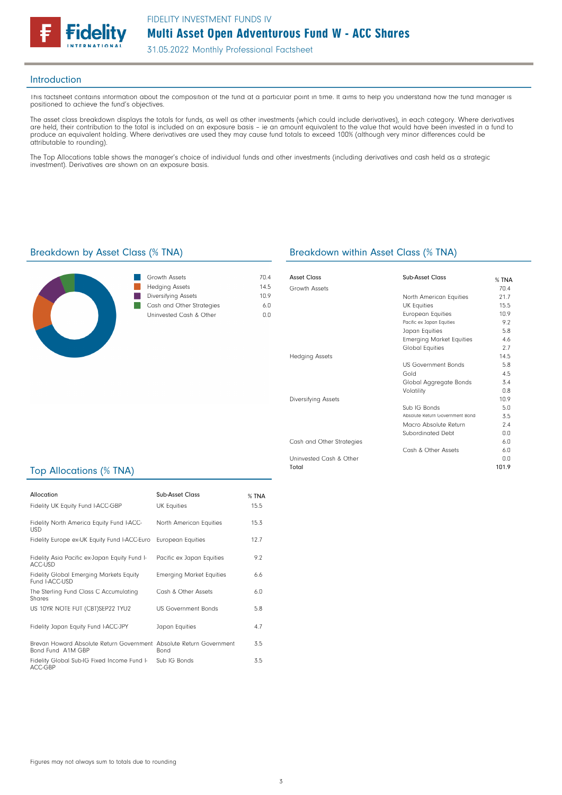

31.05.2022 Monthly Professional Factsheet

#### Introduction

This factsheet contains information about the composition of the fund at a particular point in time. It aims to help you understand how the fund manager is positioned to achieve the fund's objectives.

The asset class breakdown displays the totals for funds, as well as other investments (which could include derivatives), in each category. Where derivatives are held, their contribution to the total is included on an exposure basis – ie an amount equivalent to the value that would have been invested in a fund to produce an equivalent holding. Where derivatives are used they may cause fund totals to exceed 100% (although very minor differences could be attributable to rounding).

The Top Allocations table shows the manager's choice of individual funds and other investments (including derivatives and cash held as a strategic investment). Derivatives are shown on an exposure basis.



| Growth Assets             | 70 4  |
|---------------------------|-------|
| <b>Hedging Assets</b>     | 14.5  |
| Diversifying Assets       | 1 N 9 |
| Cash and Other Strategies | 6 N   |
| Uninvested Cash & Other   | n n   |
|                           |       |

### Breakdown by Asset Class (% TNA) Breakdown within Asset Class (% TNA)

| Asset Class               | Sub-Asset Class                 | $%$ TNA |
|---------------------------|---------------------------------|---------|
| Growth Assets             |                                 | 70.4    |
|                           | North American Equities         | 21.7    |
|                           | <b>UK Equities</b>              | 15.5    |
|                           | <b>European Equities</b>        | 10.9    |
|                           | Pacific ex Japan Equities       | 9.2     |
|                           | Japan Equities                  | 5.8     |
|                           | <b>Emerging Market Equities</b> | 4.6     |
|                           | Global Equities                 | 2.7     |
| <b>Hedging Assets</b>     |                                 | 14.5    |
|                           | <b>US Government Bonds</b>      | 5.8     |
|                           | Gold                            | 4.5     |
|                           | Global Aggregate Bonds          | 3.4     |
|                           | Volatility                      | 0.8     |
| Diversifying Assets       |                                 | 10.9    |
|                           | Sub IG Bonds                    | 5.0     |
|                           | Absolute Return Government Bond | 3.5     |
|                           | Macro Absolute Return           | 7.4     |
|                           | Subordinated Debt               | 0.0     |
| Cash and Other Strategies |                                 | 6.0     |
|                           | Cash & Other Assets             | 6.0     |
| Uninvested Cash & Other   |                                 | 0.0     |
| Total                     |                                 | 101.9   |

## Top Allocations (% TNA)

| Allocation                                                                               | Sub-Asset Class                 | % TNA |
|------------------------------------------------------------------------------------------|---------------------------------|-------|
| Fidelity UK Equity Fund I-ACC-GBP                                                        | <b>UK Equities</b>              | 15.5  |
| Fidelity North America Equity Fund I-ACC-<br><b>USD</b>                                  | North American Equities         | 15.3  |
| Fidelity Europe ex-UK Equity Fund I-ACC-Euro                                             | European Equities               | 12.7  |
| Fidelity Asia Pacific ex-Japan Equity Fund I-<br>ACC-USD                                 | Pacific ex Japan Equities       | 9.2   |
| <b>Fidelity Global Emerging Markets Equity</b><br>Fund I-ACC-USD                         | <b>Emerging Market Equities</b> | 6.6   |
| The Sterling Fund Class C Accumulating<br>Shares                                         | Cash & Other Assets             | 6.0   |
| US 10YR NOTE FUT (CBT)SEP22 TYU2                                                         | <b>US Government Bonds</b>      | 5.8   |
| Fidelity Japan Equity Fund I-ACC-JPY                                                     | Japan Equities                  | 4.7   |
| Brevan Howard Absolute Return Government Absolute Return Government<br>Bond Fund A1M GBP | <b>Bond</b>                     | 3.5   |
| Fidelity Global Sub-IG Fixed Income Fund I-<br>ACC-GBP                                   | Sub IG Bonds                    | 3.5   |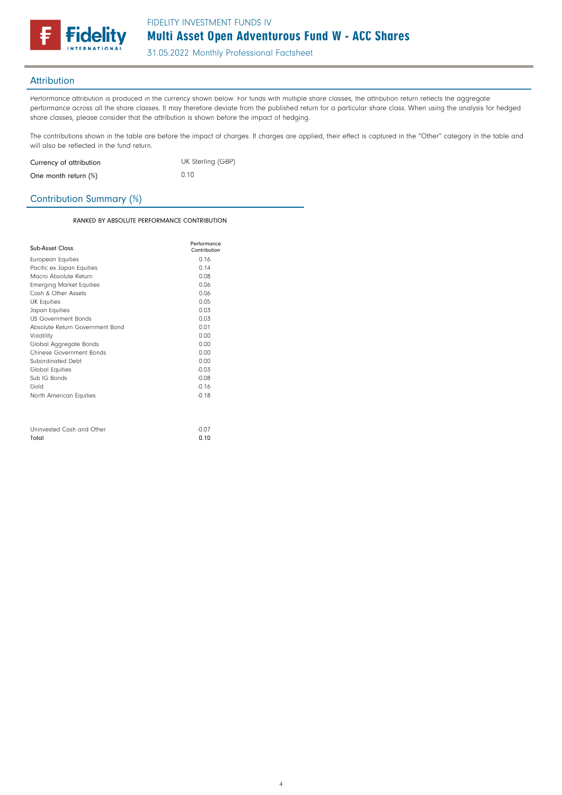

31.05.2022 Monthly Professional Factsheet

## Attribution

Total

Performance attribution is produced in the currency shown below. For funds with multiple share classes, the attribution return reflects the aggregate performance across all the share classes. It may therefore deviate from the published return for a particular share class. When using the analysis for hedged share classes, please consider that the attribution is shown before the impact of hedging.

The contributions shown in the table are before the impact of charges. If charges are applied, their effect is captured in the "Other" category in the table and will also be reflected in the fund return.

| Currency of attribution | UK Sterling (GBP) |
|-------------------------|-------------------|
| One month return (%)    | 0.10              |

## Contribution Summary (%)

#### RANKED BY ABSOLUTE PERFORMANCE CONTRIBUTION

0.10

| Sub-Asset Class                 | Performance<br>Contribution |
|---------------------------------|-----------------------------|
| European Equities               | 0.16                        |
| Pacific ex Japan Equities       | 0.14                        |
| Macro Absolute Return           | 0.08                        |
| <b>Emerging Market Equities</b> | 0.06                        |
| Cash & Other Assets             | 0.06                        |
| <b>UK Equities</b>              | 0.05                        |
| Japan Equities                  | 0.03                        |
| <b>US Government Bonds</b>      | 0.03                        |
| Absolute Return Government Bond | 0.01                        |
| Volatility                      | 0.00                        |
| Global Aggregate Bonds          | 0.00                        |
| Chinese Government Bonds        | 0.00                        |
| Subordinated Debt               | 0.00                        |
| Global Equities                 | $-0.03$                     |
| Sub IG Bonds                    | $-0.08$                     |
| Gold                            | $-0.16$                     |
| North American Equities         | $-0.18$                     |
|                                 |                             |
| Uninvested Cash and Other       | $-0.07$                     |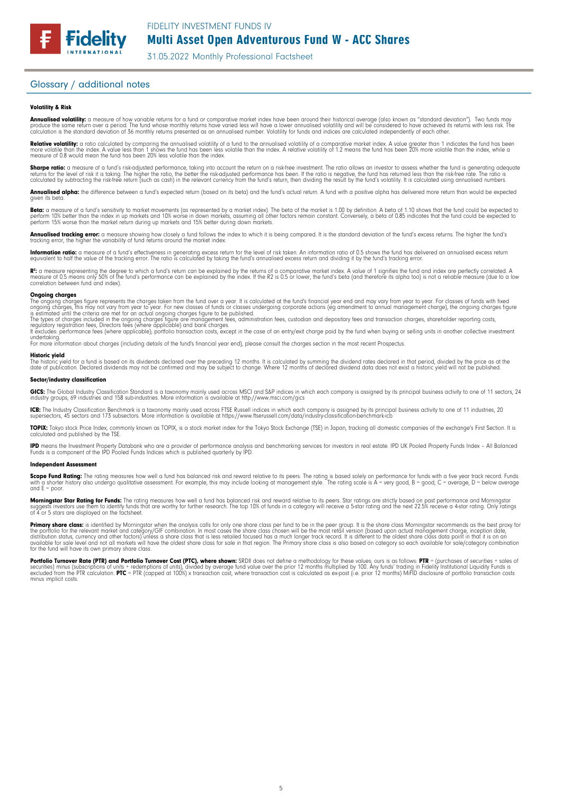

31.05.2022 Monthly Professional Factsheet

### Glossary / additional notes

**Fidelity** 

#### Volatility & Risk

**Annualised volatility:** a measure of how variable returns for a fund or comparative market index have been around their historical average (also known as "standard deviation"). Two funds may<br>produce the same return over a calculation is the standard deviation of 36 monthly returns presented as an annualised number. Volatility for funds and indices are calculated independently of each other.

**Relative volatility:** a ratio calculated by comparing the annualised volatility of a fund to the annualised volatility of a comparative market index. A value greater than 1 indicates the fund has been<br>more volatile than t measure of 0.8 would mean the fund has been 20% less volatile than the index.

**Sharpe ratio:** a measure of a fund's risk-adjusted performance, taking into account the return on a risk-free investment. The ratio allows an investor to assess whether the fund is generating adequate the fund is generati

**Annualised alpha:** the difference between a fund's expected return (based on its beta) and the fund's actual return. A fund with a positive alpha has delivered more return than would be expected given its beto

**Beta:** a measure of a fund's sensitivity to market movements (as represented by a market index). The beta of the market is 1.00 by definition. A beta of 1.10 shows that the fund could be expected to<br>perform 10% better tha

**Annualised tracking error:** a measure showing how closely a fund follows the index to which it is being compared. It is the standard deviation of the fund's excess returns. The higher the fund's<br>tracking error, the higher

**Information ratio:** a measure of a fund's effectiveness in generating excess return for the level of risk taken. An information ratio of 0.5 shows the fund has delivered an annualised excess return<br>equivalent to half the

R": a measure representing the degree to which a fund's return can be explained by the returns of a comparative market index. A value of 1 signifies the fund and index are perfectly correlated. A<br>measure of 0.5 means only correlation between fund and index).

#### **Ongoing charges**<br>The ongoing charge

The ongoing charges figure represents the charges taken from the fund over a year. It is calculated at the fund's financial year end and may vary from year to year. For classes of funds with fixed<br>ongoing charges, this may

The types of charges included in the ongoing charges figure are management fees, administration fees, custodian and depositary fees and transaction charges, shareholder reporting costs,<br>regulatory registration fees, Direct

undertaking. For more information about charges (including details of the fund's financial year end), please consult the charges section in the most recent Prospectus.

#### Historic yield

The historic yield for a fund is based on its dividends declared over the preceding 12 months. It is calculated by summing the dividend rates declared in that period, divided by the price as at the<br>date of publication. Dec

#### Sector/industry classification

**GICS:** The Global Industry Classification Standard is a taxonomy mainly used across MSCI and S&P indices in which each company is assigned by its principal business activity to one of 11 sectors, 24<br>industry groups, 69 in

**ICB:** The Industry Classification Benchmark is a taxonomy mainly used across FTSE Russell indices in which each company is assigned by its principal business activity to one of 11 industries, 20<br>supersectors, 45 sectors a

**TOPIX:** Tokyo stock Price Index, commonly known as TOPIX, is a stock market index for the Tokyo Stock Exchange (TSE) in Japan, tracking all domestic companies of the exchange's First Section. It is<br>calculated and publishe

**IPD** means the Investment Property Databank who are a provider of performance analysis and benchmarking services for investors in real estate. IPD UK Pooled Property Funds Index - All Balanced<br>Funds is a component of the

#### Independent Assessment

**Scope Fund Rating:** The rating measures how well a fund has balanced risk and reward relative to its peers. The rating is based solely on performance for funds with a five year track record. Funds<br>with a shorter history a and  $F =$  poor.

**Morningstar Star Rating for Funds:** The rating measures how well a fund has balanced risk and reward relative to its peers. Star ratings are strictly based on past performance and Morningstar<br>suggests investors use them t

**Primary share class:** is identified by Morningstar when the analysis calls tor only one share class per fund to be in the peer group. It is the share class Morningstar recommends as the best proxy for<br>the portfolio for th

Portfolio Turnover Rate (PTR) and Portfolio Turnover Cost (PTC), where shown: SRDII does not define a methodology for these values; ours is as follows: PTR = (purchases of securities + sales of<br>securities) minus (subscript minus implicit costs.